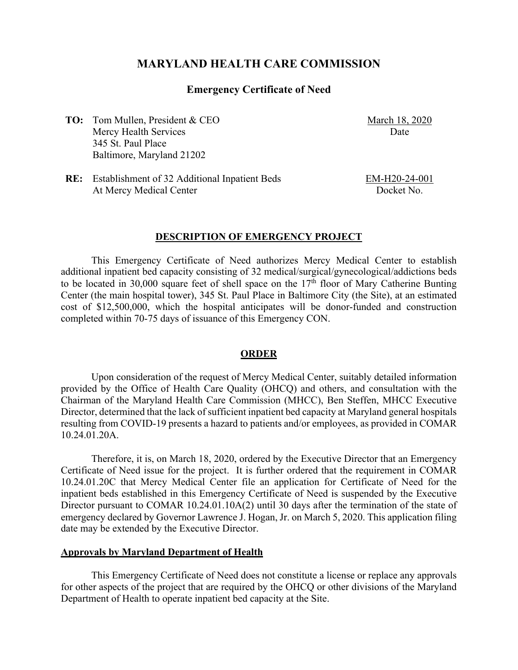# **MARYLAND HEALTH CARE COMMISSION**

### **Emergency Certificate of Need**

**TO:** Tom Mullen, President & CEO Mercy Health Services 345 St. Paul Place Baltimore, Maryland 21202

March 18, 2020 Date

**RE:** Establishment of 32 Additional Inpatient Beds At Mercy Medical Center

EM-H20-24-001 Docket No.

#### **DESCRIPTION OF EMERGENCY PROJECT**

This Emergency Certificate of Need authorizes Mercy Medical Center to establish additional inpatient bed capacity consisting of 32 medical/surgical/gynecological/addictions beds to be located in 30,000 square feet of shell space on the  $17<sup>th</sup>$  floor of Mary Catherine Bunting Center (the main hospital tower), 345 St. Paul Place in Baltimore City (the Site), at an estimated cost of \$12,500,000, which the hospital anticipates will be donor-funded and construction completed within 70-75 days of issuance of this Emergency CON.

#### **ORDER**

Upon consideration of the request of Mercy Medical Center, suitably detailed information provided by the Office of Health Care Quality (OHCQ) and others, and consultation with the Chairman of the Maryland Health Care Commission (MHCC), Ben Steffen, MHCC Executive Director, determined that the lack of sufficient inpatient bed capacity at Maryland general hospitals resulting from COVID-19 presents a hazard to patients and/or employees, as provided in COMAR 10.24.01.20A.

Therefore, it is, on March 18, 2020, ordered by the Executive Director that an Emergency Certificate of Need issue for the project. It is further ordered that the requirement in COMAR 10.24.01.20C that Mercy Medical Center file an application for Certificate of Need for the inpatient beds established in this Emergency Certificate of Need is suspended by the Executive Director pursuant to COMAR 10.24.01.10A(2) until 30 days after the termination of the state of emergency declared by Governor Lawrence J. Hogan, Jr. on March 5, 2020. This application filing date may be extended by the Executive Director.

#### **Approvals by Maryland Department of Health**

This Emergency Certificate of Need does not constitute a license or replace any approvals for other aspects of the project that are required by the OHCQ or other divisions of the Maryland Department of Health to operate inpatient bed capacity at the Site.